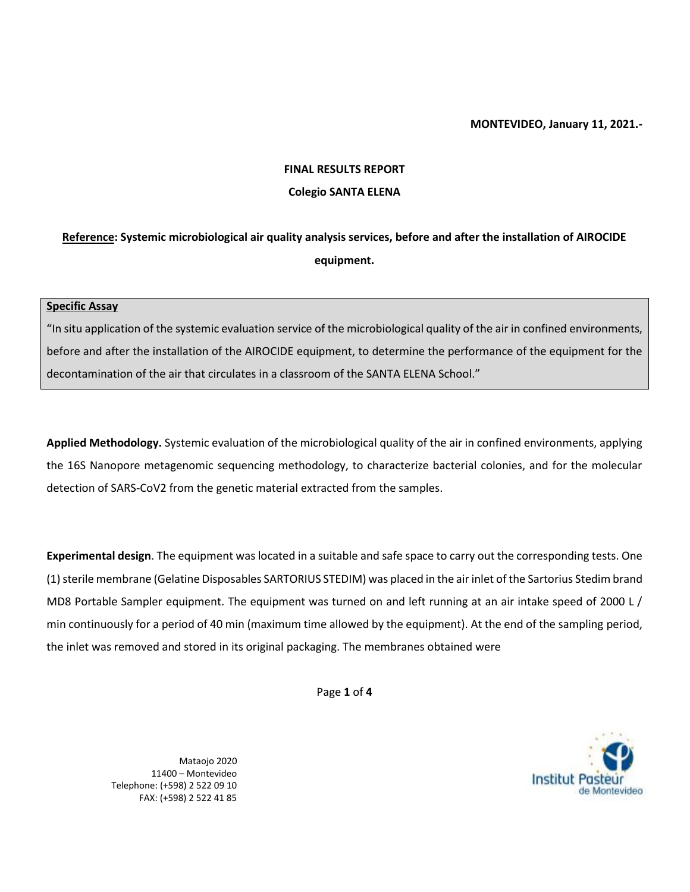#### **MONTEVIDEO, January 11, 2021.-**

# **FINAL RESULTS REPORT Colegio SANTA ELENA**

## **Reference: Systemic microbiological air quality analysis services, before and after the installation of AIROCIDE equipment.**

#### **Specific Assay**

"In situ application of the systemic evaluation service of the microbiological quality of the air in confined environments, before and after the installation of the AIROCIDE equipment, to determine the performance of the equipment for the decontamination of the air that circulates in a classroom of the SANTA ELENA School."

**Applied Methodology.** Systemic evaluation of the microbiological quality of the air in confined environments, applying the 16S Nanopore metagenomic sequencing methodology, to characterize bacterial colonies, and for the molecular detection of SARS-CoV2 from the genetic material extracted from the samples.

**Experimental design**. The equipment was located in a suitable and safe space to carry out the corresponding tests. One (1) sterile membrane (Gelatine Disposables SARTORIUS STEDIM) was placed in the air inlet of the Sartorius Stedim brand MD8 Portable Sampler equipment. The equipment was turned on and left running at an air intake speed of 2000 L / min continuously for a period of 40 min (maximum time allowed by the equipment). At the end of the sampling period, the inlet was removed and stored in its original packaging. The membranes obtained were

Page **1** of **4**

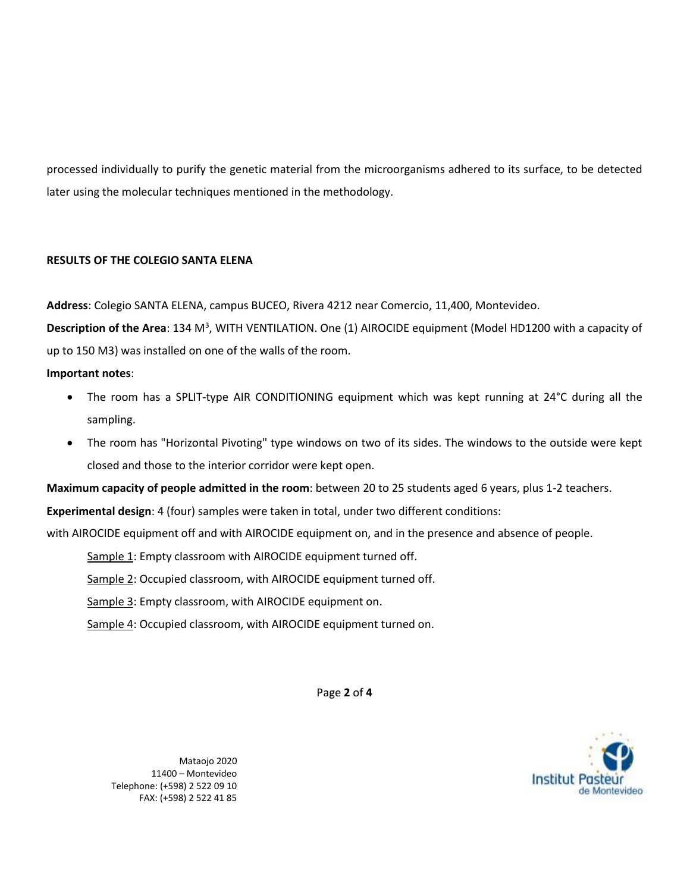processed individually to purify the genetic material from the microorganisms adhered to its surface, to be detected later using the molecular techniques mentioned in the methodology.

## **RESULTS OF THE COLEGIO SANTA ELENA**

**Address**: Colegio SANTA ELENA, campus BUCEO, Rivera 4212 near Comercio, 11,400, Montevideo.

Description of the Area: 134 M<sup>3</sup>, WITH VENTILATION. One (1) AIROCIDE equipment (Model HD1200 with a capacity of up to 150 M3) was installed on one of the walls of the room.

## **Important notes**:

- The room has a SPLIT-type AIR CONDITIONING equipment which was kept running at 24°C during all the sampling.
- The room has "Horizontal Pivoting" type windows on two of its sides. The windows to the outside were kept closed and those to the interior corridor were kept open.

**Maximum capacity of people admitted in the room**: between 20 to 25 students aged 6 years, plus 1-2 teachers.

**Experimental design**: 4 (four) samples were taken in total, under two different conditions:

with AIROCIDE equipment off and with AIROCIDE equipment on, and in the presence and absence of people.

Sample 1: Empty classroom with AIROCIDE equipment turned off.

Sample 2: Occupied classroom, with AIROCIDE equipment turned off.

Sample 3: Empty classroom, with AIROCIDE equipment on.

Sample 4: Occupied classroom, with AIROCIDE equipment turned on.

Page **2** of **4**

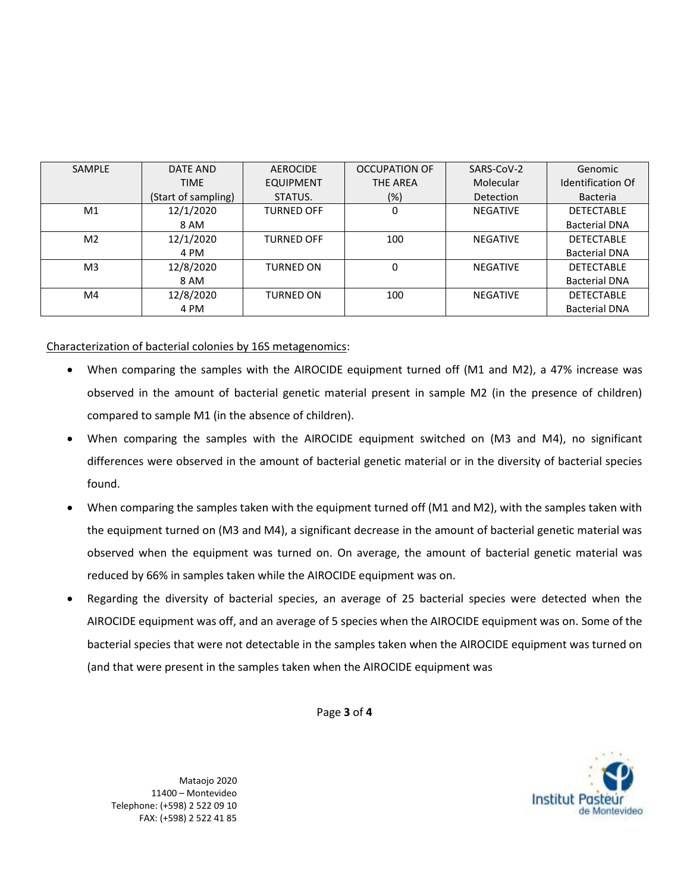| <b>SAMPLE</b>  | DATE AND            | AEROCIDE          | <b>OCCUPATION OF</b> | SARS-CoV-2      | Genomic                  |
|----------------|---------------------|-------------------|----------------------|-----------------|--------------------------|
|                | <b>TIME</b>         | <b>EQUIPMENT</b>  | <b>THE AREA</b>      | Molecular       | <b>Identification Of</b> |
|                | (Start of sampling) | STATUS.           | $(\%)$               | Detection       | <b>Bacteria</b>          |
| M1             | 12/1/2020           | <b>TURNED OFF</b> | 0                    | <b>NEGATIVE</b> | <b>DETECTABLE</b>        |
|                | 8 AM                |                   |                      |                 | <b>Bacterial DNA</b>     |
| M <sub>2</sub> | 12/1/2020           | <b>TURNED OFF</b> | 100                  | <b>NEGATIVE</b> | <b>DETECTABLE</b>        |
|                | 4 PM                |                   |                      |                 | <b>Bacterial DNA</b>     |
| M <sub>3</sub> | 12/8/2020           | <b>TURNED ON</b>  | 0                    | <b>NEGATIVE</b> | <b>DETECTABLE</b>        |
|                | 8 AM                |                   |                      |                 | <b>Bacterial DNA</b>     |
| M4             | 12/8/2020           | <b>TURNED ON</b>  | 100                  | <b>NEGATIVE</b> | <b>DETECTABLE</b>        |
|                | 4 PM                |                   |                      |                 | <b>Bacterial DNA</b>     |

Characterization of bacterial colonies by 16S metagenomics:

- When comparing the samples with the AIROCIDE equipment turned off (M1 and M2), a 47% increase was observed in the amount of bacterial genetic material present in sample M2 (in the presence of children) compared to sample M1 (in the absence of children).
- When comparing the samples with the AIROCIDE equipment switched on (M3 and M4), no significant differences were observed in the amount of bacterial genetic material or in the diversity of bacterial species found.
- When comparing the samples taken with the equipment turned off (M1 and M2), with the samples taken with the equipment turned on (M3 and M4), a significant decrease in the amount of bacterial genetic material was observed when the equipment was turned on. On average, the amount of bacterial genetic material was reduced by 66% in samples taken while the AIROCIDE equipment was on.
- Regarding the diversity of bacterial species, an average of 25 bacterial species were detected when the AIROCIDE equipment was off, and an average of 5 species when the AIROCIDE equipment was on. Some of the bacterial species that were not detectable in the samples taken when the AIROCIDE equipment was turned on (and that were present in the samples taken when the AIROCIDE equipment was

Page **3** of **4**